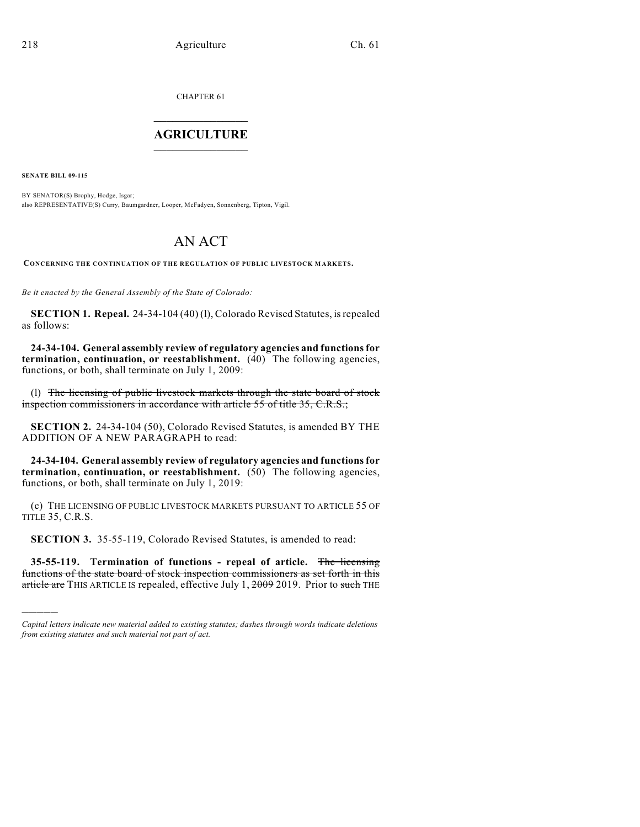CHAPTER 61  $\mathcal{L}_\text{max}$  . The set of the set of the set of the set of the set of the set of the set of the set of the set of the set of the set of the set of the set of the set of the set of the set of the set of the set of the set

## **AGRICULTURE**  $\_$   $\_$   $\_$   $\_$   $\_$   $\_$   $\_$   $\_$

**SENATE BILL 09-115**

)))))

BY SENATOR(S) Brophy, Hodge, Isgar; also REPRESENTATIVE(S) Curry, Baumgardner, Looper, McFadyen, Sonnenberg, Tipton, Vigil.

## AN ACT

**CONCERNING THE CONTINUATION OF THE REGULATION OF PUBLIC LIVESTOCK M ARKETS.**

*Be it enacted by the General Assembly of the State of Colorado:*

**SECTION 1. Repeal.** 24-34-104 (40) (l), Colorado Revised Statutes, is repealed as follows:

**24-34-104. General assembly review of regulatory agencies and functions for termination, continuation, or reestablishment.** (40) The following agencies, functions, or both, shall terminate on July 1, 2009:

(l) The licensing of public livestock markets through the state board of stock inspection commissioners in accordance with article 55 of title 35, C.R.S.;

**SECTION 2.** 24-34-104 (50), Colorado Revised Statutes, is amended BY THE ADDITION OF A NEW PARAGRAPH to read:

**24-34-104. General assembly review of regulatory agencies and functions for termination, continuation, or reestablishment.** (50) The following agencies, functions, or both, shall terminate on July 1, 2019:

(c) THE LICENSING OF PUBLIC LIVESTOCK MARKETS PURSUANT TO ARTICLE 55 OF TITLE 35, C.R.S.

**SECTION 3.** 35-55-119, Colorado Revised Statutes, is amended to read:

**35-55-119. Termination of functions - repeal of article.** The licensing functions of the state board of stock inspection commissioners as set forth in this article are THIS ARTICLE IS repealed, effective July 1, 2009 2019. Prior to such THE

*Capital letters indicate new material added to existing statutes; dashes through words indicate deletions from existing statutes and such material not part of act.*